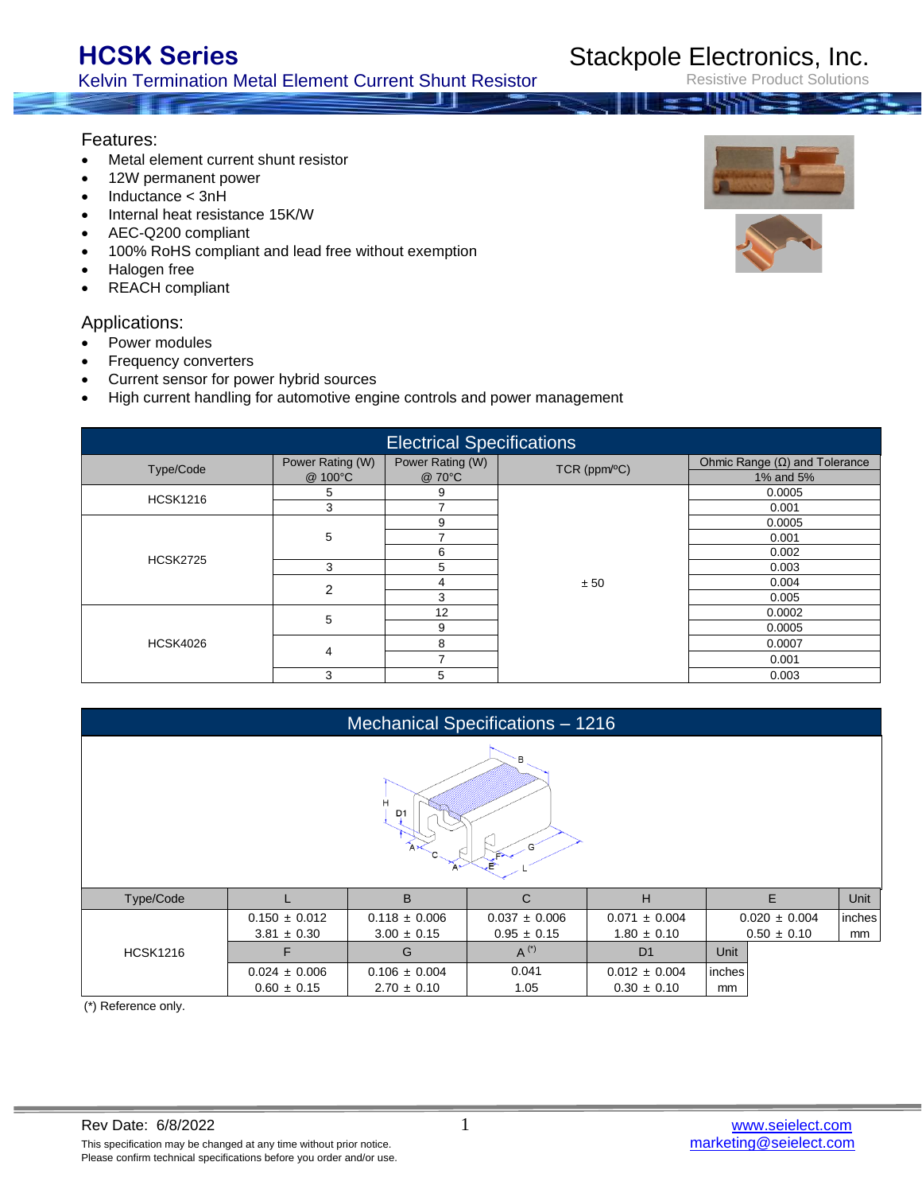Kelvin Termination Metal Element Current Shunt Resistor

Rev Date: 6/8/2022<br>
This specification may be changed at any time without prior notice.<br>
This specification may be changed at any time without prior notice.<br> **1** This specification may be changed at any time without prior notice. Please confirm technical specifications before you order and/or use.

- Inductance < 3nH
- Internal heat resistance 15K/W
- AEC-Q200 compliant
- 100% RoHS compliant and lead free without exemption
- Halogen free

Features:

• REACH compliant

### Applications:

- Power modules
- Frequency converters
- Current sensor for power hybrid sources
- High current handling for automotive engine controls and power management

| <b>Electrical Specifications</b> |                             |                            |                         |                                                   |  |  |  |
|----------------------------------|-----------------------------|----------------------------|-------------------------|---------------------------------------------------|--|--|--|
| Type/Code                        | Power Rating (W)<br>@ 100°C | Power Rating (W)<br>@ 70°C | $TCR$ (ppm $\sqrt{C}$ ) | Ohmic Range $(\Omega)$ and Tolerance<br>1% and 5% |  |  |  |
|                                  |                             | 9                          |                         | 0.0005                                            |  |  |  |
| <b>HCSK1216</b>                  | 5                           |                            |                         |                                                   |  |  |  |
|                                  | 3                           |                            |                         | 0.001                                             |  |  |  |
|                                  |                             | 9                          |                         | 0.0005                                            |  |  |  |
| <b>HCSK2725</b>                  | 5                           |                            |                         | 0.001                                             |  |  |  |
|                                  |                             | 6                          |                         | 0.002                                             |  |  |  |
|                                  | 3                           | 5                          |                         | 0.003                                             |  |  |  |
|                                  | $\overline{2}$              | 4                          | ± 50                    | 0.004                                             |  |  |  |
|                                  |                             | 3                          |                         | 0.005                                             |  |  |  |
|                                  | 5                           | 12                         |                         | 0.0002                                            |  |  |  |
| <b>HCSK4026</b>                  |                             | 9                          |                         | 0.0005                                            |  |  |  |
|                                  |                             | 8                          |                         | 0.0007                                            |  |  |  |
|                                  | 4                           |                            |                         | 0.001                                             |  |  |  |
|                                  | 3                           | 5                          |                         | 0.003                                             |  |  |  |

| Mechanical Specifications - 1216               |                                                                                                   |                   |                   |                   |        |                   |        |  |
|------------------------------------------------|---------------------------------------------------------------------------------------------------|-------------------|-------------------|-------------------|--------|-------------------|--------|--|
| ъ.<br>H<br>D <sub>1</sub><br>$G^{\prime}$<br>P |                                                                                                   |                   |                   |                   |        |                   |        |  |
| Type/Code                                      |                                                                                                   | B                 | $\mathsf{C}$      | H                 |        | E                 | Unit   |  |
|                                                | $0.150 \pm 0.012$                                                                                 | $0.118 \pm 0.006$ | $0.037 \pm 0.006$ | $0.071 \pm 0.004$ |        | $0.020 \pm 0.004$ | inches |  |
|                                                | $0.50 \pm 0.10$<br>$3.81 \pm 0.30$<br>$3.00 \pm 0.15$<br>$0.95 \pm 0.15$<br>$1.80 \pm 0.10$<br>mm |                   |                   |                   |        |                   |        |  |
| <b>HCSK1216</b>                                | F                                                                                                 | G                 | $A^{(*)}$         | D <sub>1</sub>    | Unit   |                   |        |  |
|                                                | $0.024 \pm 0.006$                                                                                 | $0.106 \pm 0.004$ | 0.041             | $0.012 \pm 0.004$ | inches |                   |        |  |
| $\cdots$ $\cdots$                              | $0.60 \pm 0.15$                                                                                   | $2.70 \pm 0.10$   | 1.05              | $0.30 \pm 0.10$   | mm     |                   |        |  |

(\*) Reference only.



### Stackpole Electronics, Inc.

duct Solutions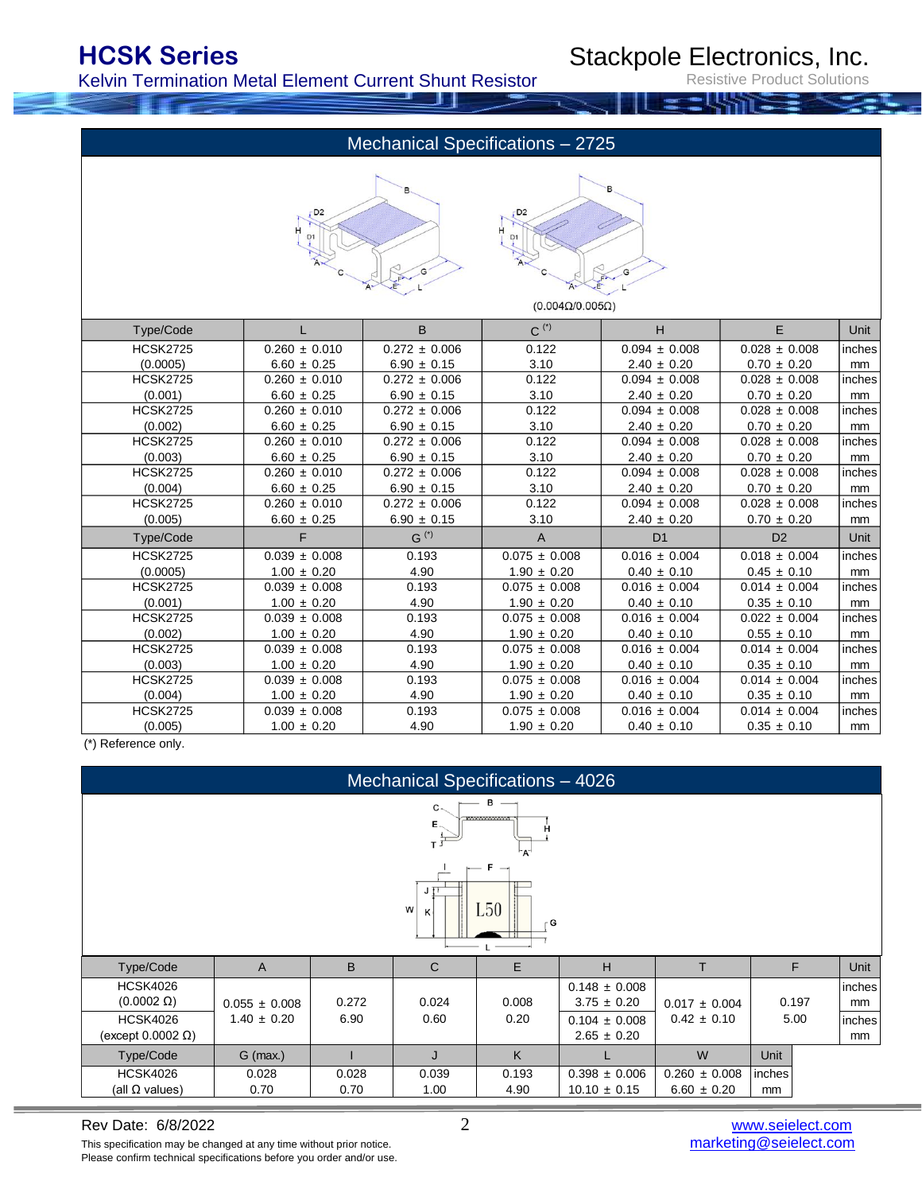Kelvin Termination Metal Element Current Shunt Resistor

Stackpole Electronics, Inc.

roduct Solutions

### Mechanical Specifications – 2725





|  | $(0.004\Omega/0.005\Omega)$ |
|--|-----------------------------|
|  |                             |

| Type/Code       |                   | B                 | $C^{(\star)}$     | H                 | E.                | Unit   |
|-----------------|-------------------|-------------------|-------------------|-------------------|-------------------|--------|
| <b>HCSK2725</b> | $0.260 \pm 0.010$ | $0.272 \pm 0.006$ | 0.122             | $0.094 \pm 0.008$ | $0.028 \pm 0.008$ | inches |
| (0.0005)        | $6.60 \pm 0.25$   | $6.90 \pm 0.15$   | 3.10              | $2.40 \pm 0.20$   | $0.70 \pm 0.20$   | mm     |
| <b>HCSK2725</b> | $0.260 \pm 0.010$ | $0.272 \pm 0.006$ | 0.122             | $0.094 \pm 0.008$ | $0.028 \pm 0.008$ | inches |
| (0.001)         | $6.60 \pm 0.25$   | $6.90 \pm 0.15$   | 3.10              | $2.40 \pm 0.20$   | $0.70 \pm 0.20$   | mm     |
| <b>HCSK2725</b> | $0.260 \pm 0.010$ | $0.272 \pm 0.006$ | 0.122             | $0.094 \pm 0.008$ | $0.028 \pm 0.008$ | inches |
| (0.002)         | $6.60 \pm 0.25$   | $6.90 \pm 0.15$   | 3.10              | $2.40 \pm 0.20$   | $0.70 \pm 0.20$   | mm     |
| <b>HCSK2725</b> | $0.260 \pm 0.010$ | $0.272 \pm 0.006$ | 0.122             | $0.094 \pm 0.008$ | $0.028 \pm 0.008$ | inches |
| (0.003)         | $6.60 \pm 0.25$   | $6.90 \pm 0.15$   | 3.10              | $2.40 \pm 0.20$   | $0.70 \pm 0.20$   | mm     |
| <b>HCSK2725</b> | $0.260 \pm 0.010$ | $0.272 \pm 0.006$ | 0.122             | $0.094 \pm 0.008$ | $0.028 \pm 0.008$ | inches |
| (0.004)         | $6.60 \pm 0.25$   | $6.90 \pm 0.15$   | 3.10              | $2.40 \pm 0.20$   | $0.70 \pm 0.20$   | mm     |
| <b>HCSK2725</b> | $0.260 \pm 0.010$ | $0.272 \pm 0.006$ | 0.122             | $0.094 \pm 0.008$ | $0.028 \pm 0.008$ | inches |
| (0.005)         | $6.60 \pm 0.25$   | $6.90 \pm 0.15$   | 3.10              | $2.40 \pm 0.20$   | $0.70 \pm 0.20$   | mm     |
| Type/Code       | F.                | $G^{(*)}$         | A                 | D <sub>1</sub>    | D <sub>2</sub>    | Unit   |
| <b>HCSK2725</b> | $0.039 \pm 0.008$ | 0.193             | $0.075 \pm 0.008$ | $0.016 \pm 0.004$ | $0.018 \pm 0.004$ | inches |
| (0.0005)        | $1.00 \pm 0.20$   | 4.90              | $1.90 \pm 0.20$   | $0.40 \pm 0.10$   | $0.45 \pm 0.10$   | mm     |
| <b>HCSK2725</b> | $0.039 \pm 0.008$ | 0.193             | $0.075 \pm 0.008$ | $0.016 \pm 0.004$ | $0.014 \pm 0.004$ | inches |
| (0.001)         | $1.00 \pm 0.20$   | 4.90              | $1.90 \pm 0.20$   | $0.40 \pm 0.10$   | $0.35 \pm 0.10$   | mm     |
| <b>HCSK2725</b> | $0.039 \pm 0.008$ | 0.193             | $0.075 \pm 0.008$ | $0.016 \pm 0.004$ | $0.022 \pm 0.004$ | inches |
| (0.002)         | $1.00 \pm 0.20$   | 4.90              | $1.90 \pm 0.20$   | $0.40 \pm 0.10$   | $0.55 \pm 0.10$   | mm     |
| <b>HCSK2725</b> | $0.039 \pm 0.008$ | 0.193             | $0.075 \pm 0.008$ | $0.016 \pm 0.004$ | $0.014 \pm 0.004$ | inches |
| (0.003)         | $1.00 \pm 0.20$   | 4.90              | $1.90 \pm 0.20$   | $0.40 \pm 0.10$   | $0.35 \pm 0.10$   | mm     |
| <b>HCSK2725</b> | $0.039 \pm 0.008$ | 0.193             | $0.075 \pm 0.008$ | $0.016 \pm 0.004$ | $0.014 \pm 0.004$ | inches |
| (0.004)         | $1.00 \pm 0.20$   | 4.90              | $1.90 \pm 0.20$   | $0.40 \pm 0.10$   | $0.35 \pm 0.10$   | mm     |
| <b>HCSK2725</b> | $0.039 \pm 0.008$ | 0.193             | $0.075 \pm 0.008$ | $0.016 \pm 0.004$ | $0.014 \pm 0.004$ | inches |
| (0.005)         | $1.00 \pm 0.20$   | 4.90              | $1.90 \pm 0.20$   | $0.40 \pm 0.10$   | $0.35 \pm 0.10$   | mm     |

(\*) Reference only.



This specification may be changed at any time without prior notice. Please confirm technical specifications before you order and/or use.

Rev Date: 6/8/2022 2 [www.seielect.com](http://www.seielect.com/)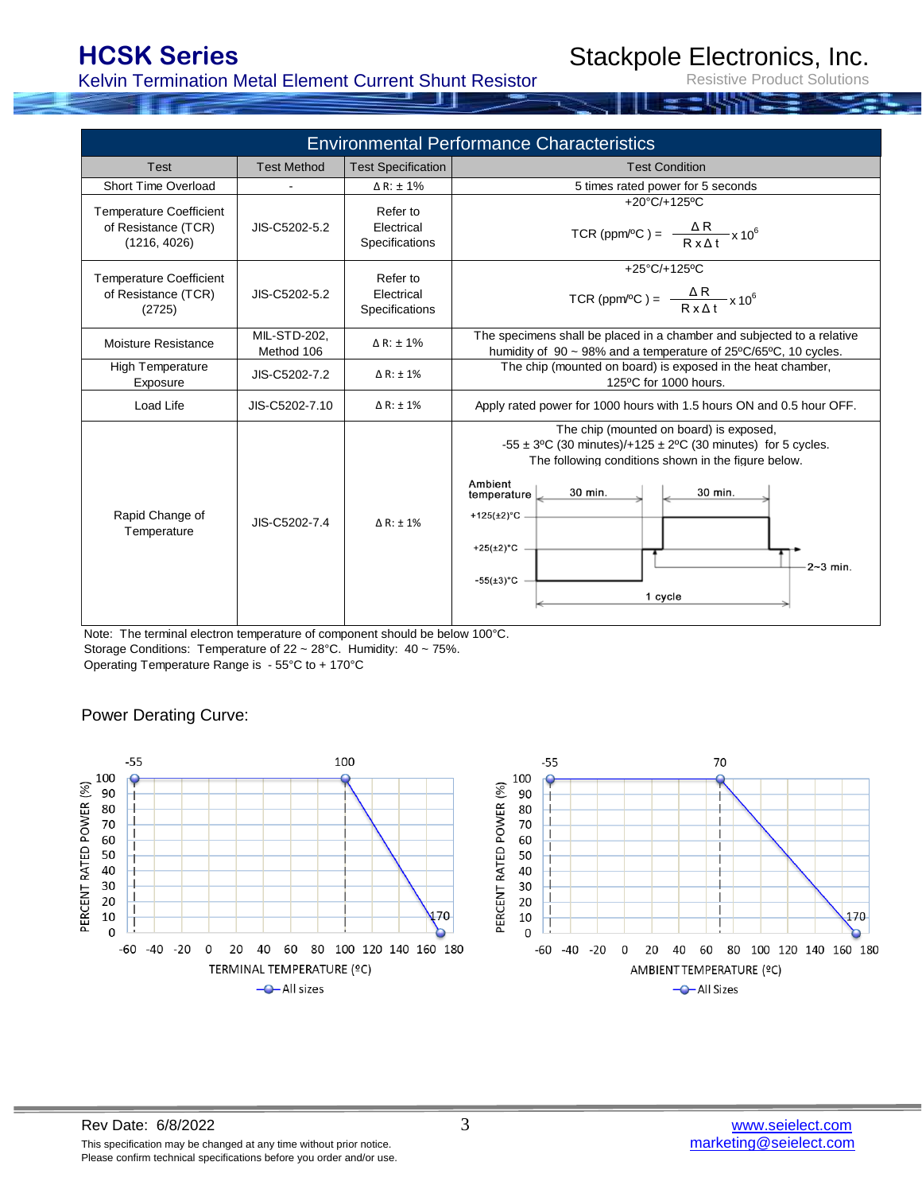Kelvin Termination Metal Element Current Shunt Resistor

### Stackpole Electronics, Inc.

Resistive Product Solutions

| <b>Environmental Performance Characteristics</b>                      |                                   |                                          |                                                                                                                                                                                                                                                                                                                                            |  |  |  |
|-----------------------------------------------------------------------|-----------------------------------|------------------------------------------|--------------------------------------------------------------------------------------------------------------------------------------------------------------------------------------------------------------------------------------------------------------------------------------------------------------------------------------------|--|--|--|
| Test                                                                  | <b>Test Method</b>                | <b>Test Specification</b>                | <b>Test Condition</b>                                                                                                                                                                                                                                                                                                                      |  |  |  |
| Short Time Overload                                                   |                                   | $\triangle$ R: $\pm$ 1%                  | 5 times rated power for 5 seconds                                                                                                                                                                                                                                                                                                          |  |  |  |
| <b>Temperature Coefficient</b><br>of Resistance (TCR)<br>(1216, 4026) | JIS-C5202-5.2                     | Refer to<br>Electrical<br>Specifications | $+20^{\circ}$ C/+125°C<br>TCR (ppm/°C) = $\frac{\Delta R}{R \times \Delta t} \times 10^6$                                                                                                                                                                                                                                                  |  |  |  |
| <b>Temperature Coefficient</b><br>of Resistance (TCR)<br>(2725)       | JIS-C5202-5.2                     | Refer to<br>Electrical<br>Specifications | +25 $°C$ /+125 $°C$<br>TCR (ppm/°C) = $\frac{\Delta R}{R \times \Delta t} \times 10^6$                                                                                                                                                                                                                                                     |  |  |  |
| Moisture Resistance                                                   | <b>MIL-STD-202.</b><br>Method 106 | $\triangle$ R: $\pm$ 1%                  | The specimens shall be placed in a chamber and subjected to a relative<br>humidity of 90 ~ 98% and a temperature of 25°C/65°C, 10 cycles.                                                                                                                                                                                                  |  |  |  |
| High Temperature<br>Exposure                                          | JIS-C5202-7.2                     | $\triangle$ R: $\pm$ 1%                  | The chip (mounted on board) is exposed in the heat chamber,<br>125°C for 1000 hours.                                                                                                                                                                                                                                                       |  |  |  |
| Load Life                                                             | JIS-C5202-7.10                    | $\Delta$ R: $\pm$ 1%                     | Apply rated power for 1000 hours with 1.5 hours ON and 0.5 hour OFF.                                                                                                                                                                                                                                                                       |  |  |  |
| Rapid Change of<br>Temperature                                        | JIS-C5202-7.4                     | $\triangle$ R: $\pm$ 1%                  | The chip (mounted on board) is exposed,<br>$-55 \pm 3$ °C (30 minutes)/+125 $\pm$ 2°C (30 minutes) for 5 cycles.<br>The following conditions shown in the figure below.<br>Ambient<br>30 min.<br>30 min.<br>temperature $\mathcal{L}$<br>+125( $\pm$ 2) $^{\circ}$ C<br>$+25(\pm 2)$ °C<br>$-2-3$ min.<br>$-55(\pm 3)^{\circ}C$<br>1 cycle |  |  |  |

Operating Temperature Range is - 55°C to + 170°C Note: The terminal electron temperature of component should be below 100°C. Storage Conditions: Temperature of 22 ~ 28°C. Humidity: 40 ~ 75%.

### Power Derating Curve:



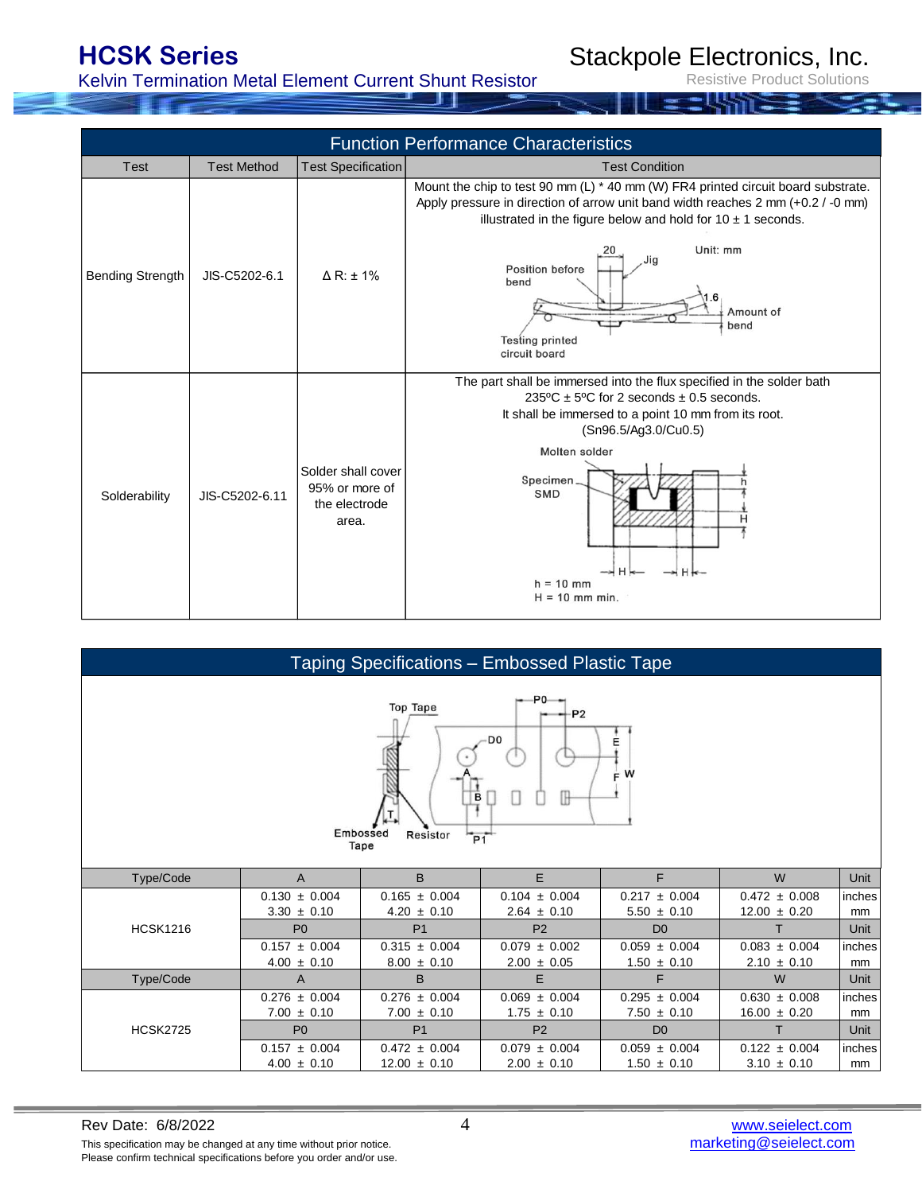Kelvin Termination Metal Element Current Shunt Resistor

Stackpole Electronics, Inc.

Resistive Product Solutions

| <b>Function Performance Characteristics</b> |                    |                                                                |                                                                                                                                                                                                                                                                                                                                                                   |  |  |  |
|---------------------------------------------|--------------------|----------------------------------------------------------------|-------------------------------------------------------------------------------------------------------------------------------------------------------------------------------------------------------------------------------------------------------------------------------------------------------------------------------------------------------------------|--|--|--|
| Test                                        | <b>Test Method</b> | <b>Test Specification</b>                                      | <b>Test Condition</b>                                                                                                                                                                                                                                                                                                                                             |  |  |  |
| Bending Strength                            | JIS-C5202-6.1      | $\triangle$ R: $\pm$ 1%                                        | Mount the chip to test 90 mm $(L) * 40$ mm $(W)$ FR4 printed circuit board substrate.<br>Apply pressure in direction of arrow unit band width reaches 2 mm (+0.2 / -0 mm)<br>illustrated in the figure below and hold for $10 \pm 1$ seconds.<br>Unit: mm<br>Jig<br>Position before<br>bend<br>.6<br>Amount of<br>bend<br><b>Testing printed</b><br>circuit board |  |  |  |
| Solderability                               | JIS-C5202-6.11     | Solder shall cover<br>95% or more of<br>the electrode<br>area. | The part shall be immersed into the flux specified in the solder bath<br>$235^{\circ}$ C ± 5°C for 2 seconds ± 0.5 seconds.<br>It shall be immersed to a point 10 mm from its root.<br>(Sn96.5/Ag3.0/Cu0.5)<br>Molten solder<br>Specimen.<br><b>SMD</b><br>н<br>—⊭ H<br>—⊶iH <del>k</del><br>$h = 10$ mm<br>$H = 10$ mm min.                                      |  |  |  |

| Taping Specifications - Embossed Plastic Tape                                                                |                   |                   |                   |                   |                   |        |  |  |
|--------------------------------------------------------------------------------------------------------------|-------------------|-------------------|-------------------|-------------------|-------------------|--------|--|--|
| $-$ P0-<br><b>Top Tape</b><br>$-P2$<br>D <sub>0</sub><br>Е<br>F W<br>в<br>Embossed<br>Resistor<br>P1<br>Tape |                   |                   |                   |                   |                   |        |  |  |
| Type/Code                                                                                                    | $\overline{A}$    | B                 | E.                | F                 | W                 | Unit   |  |  |
| <b>HCSK1216</b>                                                                                              | $0.130 \pm 0.004$ | $0.165 \pm 0.004$ | $0.104 \pm 0.004$ | $0.217 \pm 0.004$ | $0.472 \pm 0.008$ | inches |  |  |
|                                                                                                              | $3.30 \pm 0.10$   | $4.20 \pm 0.10$   | $2.64 \pm 0.10$   | $5.50 \pm 0.10$   | $12.00 \pm 0.20$  | mm     |  |  |
|                                                                                                              | P <sub>0</sub>    | P <sub>1</sub>    | P <sub>2</sub>    | D <sub>0</sub>    | т                 | Unit   |  |  |
|                                                                                                              | $0.157 \pm 0.004$ | $0.315 \pm 0.004$ | $0.079 \pm 0.002$ | $0.059 \pm 0.004$ | $0.083 \pm 0.004$ | inches |  |  |
|                                                                                                              | $4.00 \pm 0.10$   | $8.00 \pm 0.10$   | $2.00 \pm 0.05$   | $1.50 \pm 0.10$   | $2.10 \pm 0.10$   | mm     |  |  |
| Type/Code                                                                                                    | A                 | B                 | E                 | F                 | W                 | Unit   |  |  |
|                                                                                                              | $0.276 \pm 0.004$ | $0.276 \pm 0.004$ | $0.069 \pm 0.004$ | $0.295 \pm 0.004$ | $0.630 \pm 0.008$ | inches |  |  |
|                                                                                                              | $7.00 \pm 0.10$   | $7.00 \pm 0.10$   | $1.75 \pm 0.10$   | $7.50 \pm 0.10$   | $16.00 \pm 0.20$  | mm     |  |  |
| <b>HCSK2725</b>                                                                                              | P <sub>0</sub>    | P <sub>1</sub>    | P <sub>2</sub>    | D <sub>0</sub>    | т                 | Unit   |  |  |
|                                                                                                              | $0.157 \pm 0.004$ | $0.472 \pm 0.004$ | $0.079 \pm 0.004$ | $0.059 \pm 0.004$ | $0.122 \pm 0.004$ | inches |  |  |
|                                                                                                              | $4.00 \pm 0.10$   | $12.00 \pm 0.10$  | $2.00 \pm 0.10$   | $1.50 \pm 0.10$   | $3.10 \pm 0.10$   | mm     |  |  |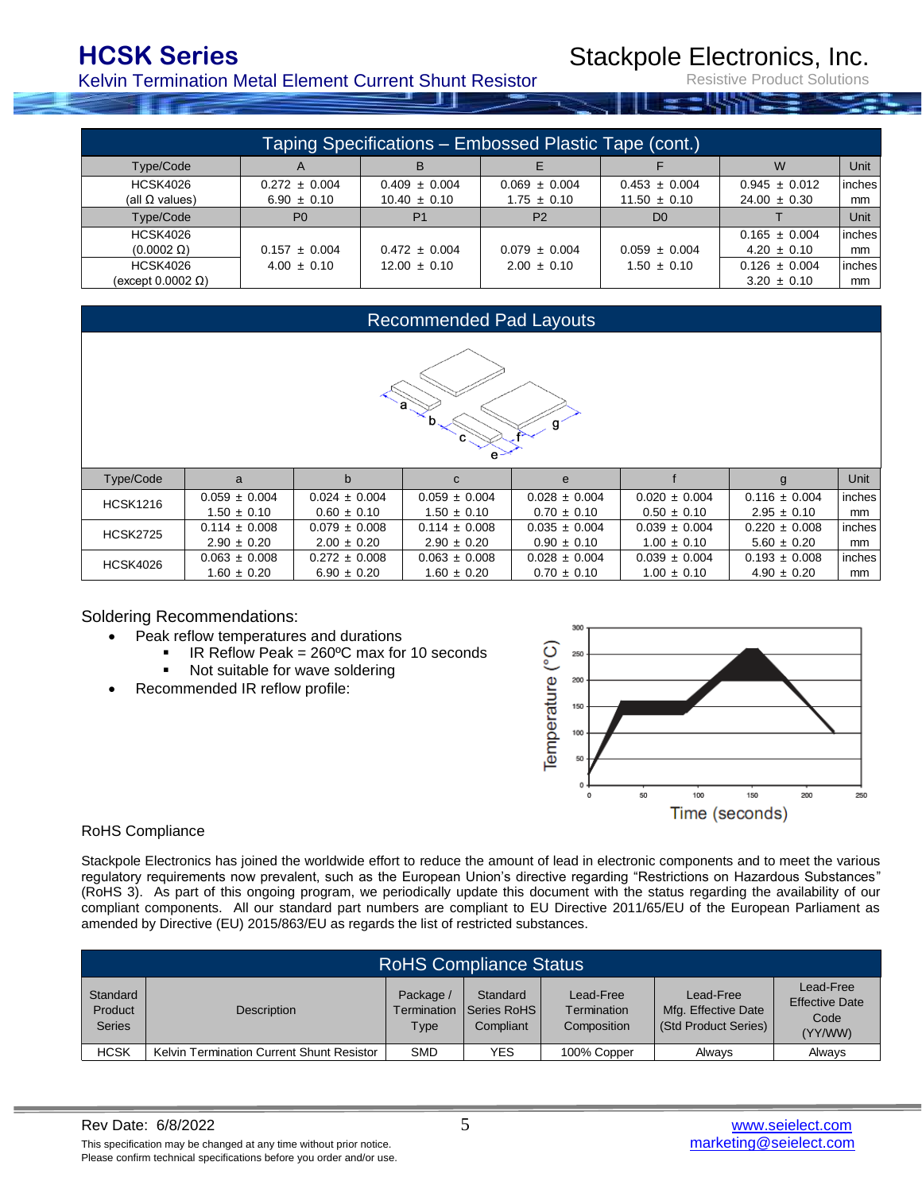Kelvin Termination Metal Element Current Shunt Resistor

### Stackpole Electronics, Inc.

roduct Solutions

| Taping Specifications – Embossed Plastic Tape (cont.) |                   |                   |                   |                   |                   |         |  |
|-------------------------------------------------------|-------------------|-------------------|-------------------|-------------------|-------------------|---------|--|
| Type/Code                                             | $\mathsf{A}$      | в                 |                   |                   | W                 | Unit    |  |
| <b>HCSK4026</b>                                       | $0.272 \pm 0.004$ | $0.409 \pm 0.004$ | $0.069 \pm 0.004$ | $0.453 \pm 0.004$ | $0.945 \pm 0.012$ | linches |  |
| (all $\Omega$ values)                                 | $6.90 \pm 0.10$   | $10.40 \pm 0.10$  | $1.75 \pm 0.10$   | $11.50 \pm 0.10$  | $24.00 \pm 0.30$  | mm      |  |
| Type/Code                                             | P <sub>0</sub>    | P <sub>1</sub>    | P <sub>2</sub>    | D <sub>0</sub>    |                   | Unit    |  |
| <b>HCSK4026</b>                                       |                   |                   |                   |                   | $0.165 \pm 0.004$ | linches |  |
| $(0.0002 \Omega)$                                     | $0.157 \pm 0.004$ | $0.472 \pm 0.004$ | $0.079 \pm 0.004$ | $0.059 \pm 0.004$ | $4.20 \pm 0.10$   | mm      |  |
| <b>HCSK4026</b>                                       | $4.00 \pm 0.10$   | $12.00 \pm 0.10$  | $2.00 \pm 0.10$   | $1.50 \pm 0.10$   | $0.126 \pm 0.004$ | linches |  |
| (except 0.0002 Ω)                                     |                   |                   |                   |                   | $3.20 \pm 0.10$   | mm      |  |

### Recommended Pad Layouts e Type/Code | a | b | c | e | f | g |Unit a | b | c | e f g  $0.059 \pm 0.004$  0.024  $\pm$  0.004 0.059  $\pm$  0.004 0.028  $\pm$  0.004 0.020  $\pm$  0.004 0.116  $\pm$  0.004 inches HCSK1216 1.50  $\pm$  0.10  $\begin{vmatrix} 0.60 \pm 0.10 \end{vmatrix}$  1.50  $\pm$  0.10  $\begin{vmatrix} 0.70 \pm 0.10 \end{vmatrix}$  0.50  $\pm$  0.10  $\begin{vmatrix} 2.95 \pm 0.10 \end{vmatrix}$  mm 0.114 ± 0.008 0.079 ± 0.008 0.114 ± 0.008 0.035 ± 0.004 0.039 ± 0.004 0.220 ± 0.008 inches HCSK2725 2.90 ± 0.20 2.00 ± 0.20 2.90 ± 0.20 0.90 ± 0.10 1.00 ± 0.10 5.60 ± 0.20 mm  $0.063 \pm 0.008$  0.272  $\pm$  0.008 0.063  $\pm$  0.008 0.028  $\pm$  0.004 0.039  $\pm$  0.004 0.193  $\pm$  0.008 inches HCSK4026 1.60  $\pm$  0.20  $\begin{array}{|c|c|c|c|c|c|c|c|c|} \hline \end{array}$  6.90  $\pm$  0.20  $\begin{array}{|c|c|c|c|c|c|c|c|} \hline \end{array}$  1.60  $\pm$  0.10  $\begin{array}{|c|c|c|c|c|c|} \hline \end{array}$  1.00  $\pm$  0.10  $\begin{array}{|c|c|c|c|c|c|} \hline \end{array}$  4.90  $\pm$  0.20  $\begin{array}{|c|c|c|c|c$

### Soldering Recommendations:

- Peak reflow temperatures and durations
	- IR Reflow Peak =  $260^{\circ}$ C max for 10 seconds
	- Not suitable for wave soldering
- Recommended IR reflow profile:



### RoHS Compliance

Stackpole Electronics has joined the worldwide effort to reduce the amount of lead in electronic components and to meet the various regulatory requirements now prevalent, such as the European Union's directive regarding "Restrictions on Hazardous Substances" (RoHS 3). As part of this ongoing program, we periodically update this document with the status regarding the availability of our compliant components. All our standard part numbers are compliant to EU Directive 2011/65/EU of the European Parliament as amended by Directive (EU) 2015/863/EU as regards the list of restricted substances.

| <b>RoHS Compliance Status</b>        |                                           |                                  |                                      |                                         |                                                          |                                                       |  |
|--------------------------------------|-------------------------------------------|----------------------------------|--------------------------------------|-----------------------------------------|----------------------------------------------------------|-------------------------------------------------------|--|
| Standard<br>Product<br><b>Series</b> | Description                               | Package /<br>Termination<br>Type | Standard<br>Series RoHS<br>Compliant | Lead-Free<br>Termination<br>Composition | Lead-Free<br>Mfg. Effective Date<br>(Std Product Series) | Lead-Free<br><b>Effective Date</b><br>Code<br>(YY/WW) |  |
| <b>HCSK</b>                          | Kelvin Termination Current Shunt Resistor | <b>SMD</b>                       | YES                                  | 100% Copper                             | <b>Alwavs</b>                                            | Always                                                |  |